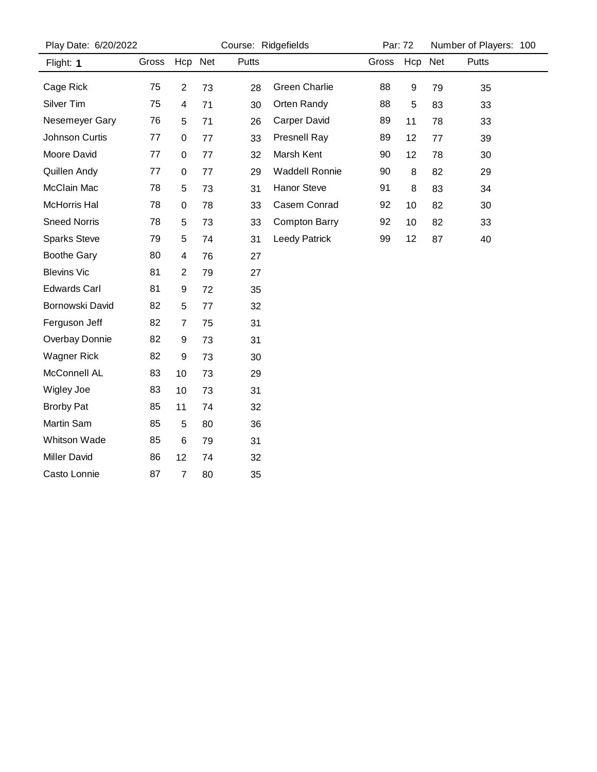| Play Date: 6/20/2022 |       |                | Course: Ridgefields |       |                       | Par: 72 |                  | Number of Players: 100 |       |  |
|----------------------|-------|----------------|---------------------|-------|-----------------------|---------|------------------|------------------------|-------|--|
| Flight: 1            | Gross | Hcp Net        |                     | Putts |                       | Gross   | Hcp              | Net                    | Putts |  |
| Cage Rick            | 75    | $\overline{2}$ | 73                  | 28    | <b>Green Charlie</b>  | 88      | $\boldsymbol{9}$ | 79                     | 35    |  |
| Silver Tim           | 75    | 4              | 71                  | 30    | Orten Randy           | 88      | 5                | 83                     | 33    |  |
| Nesemeyer Gary       | 76    | 5              | 71                  | 26    | Carper David          | 89      | 11               | 78                     | 33    |  |
| Johnson Curtis       | 77    | 0              | 77                  | 33    | <b>Presnell Ray</b>   | 89      | 12               | 77                     | 39    |  |
| Moore David          | 77    | 0              | 77                  | 32    | Marsh Kent            | 90      | 12               | 78                     | 30    |  |
| Quillen Andy         | 77    | 0              | 77                  | 29    | <b>Waddell Ronnie</b> | 90      | 8                | 82                     | 29    |  |
| McClain Mac          | 78    | 5              | 73                  | 31    | Hanor Steve           | 91      | 8                | 83                     | 34    |  |
| McHorris Hal         | 78    | 0              | 78                  | 33    | Casem Conrad          | 92      | 10               | 82                     | 30    |  |
| <b>Sneed Norris</b>  | 78    | 5              | 73                  | 33    | <b>Compton Barry</b>  | 92      | 10               | 82                     | 33    |  |
| <b>Sparks Steve</b>  | 79    | 5              | 74                  | 31    | <b>Leedy Patrick</b>  | 99      | 12               | 87                     | 40    |  |
| <b>Boothe Gary</b>   | 80    | 4              | 76                  | 27    |                       |         |                  |                        |       |  |
| <b>Blevins Vic</b>   | 81    | $\overline{2}$ | 79                  | 27    |                       |         |                  |                        |       |  |
| <b>Edwards Carl</b>  | 81    | 9              | 72                  | 35    |                       |         |                  |                        |       |  |
| Bornowski David      | 82    | 5              | 77                  | 32    |                       |         |                  |                        |       |  |
| Ferguson Jeff        | 82    | 7              | 75                  | 31    |                       |         |                  |                        |       |  |
| Overbay Donnie       | 82    | 9              | 73                  | 31    |                       |         |                  |                        |       |  |
| <b>Wagner Rick</b>   | 82    | 9              | 73                  | 30    |                       |         |                  |                        |       |  |
| McConnell AL         | 83    | 10             | 73                  | 29    |                       |         |                  |                        |       |  |
| Wigley Joe           | 83    | 10             | 73                  | 31    |                       |         |                  |                        |       |  |
| <b>Brorby Pat</b>    | 85    | 11             | 74                  | 32    |                       |         |                  |                        |       |  |
| Martin Sam           | 85    | 5              | 80                  | 36    |                       |         |                  |                        |       |  |
| <b>Whitson Wade</b>  | 85    | $\,6$          | 79                  | 31    |                       |         |                  |                        |       |  |
| <b>Miller David</b>  | 86    | 12             | 74                  | 32    |                       |         |                  |                        |       |  |
| Casto Lonnie         | 87    | $\overline{7}$ | 80                  | 35    |                       |         |                  |                        |       |  |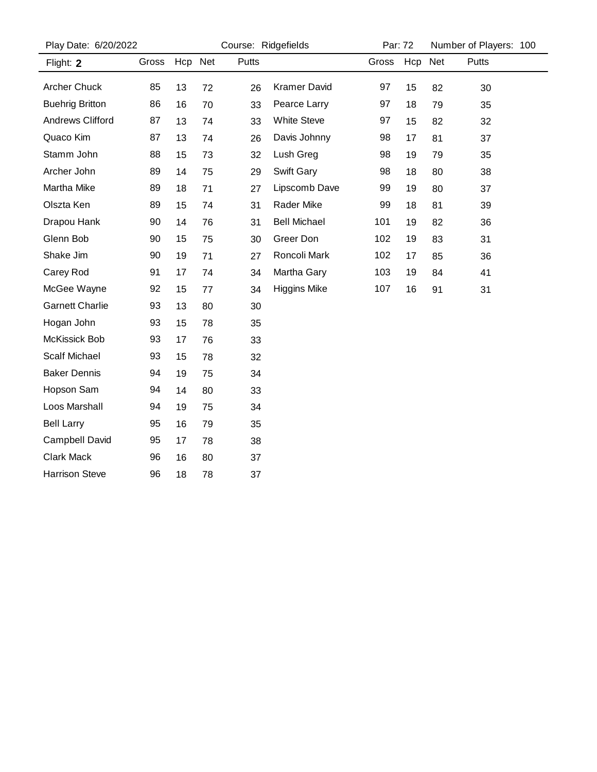| Play Date: 6/20/2022   |       |    |         | Course: Ridgefields |                     |       | Par: 72 |    | Number of Players: 100 |  |  |
|------------------------|-------|----|---------|---------------------|---------------------|-------|---------|----|------------------------|--|--|
| Flight: 2              | Gross |    | Hcp Net | Putts               |                     | Gross | Hcp Net |    | Putts                  |  |  |
| <b>Archer Chuck</b>    | 85    | 13 | 72      | 26                  | <b>Kramer David</b> | 97    | 15      | 82 | 30                     |  |  |
| <b>Buehrig Britton</b> | 86    | 16 | 70      | 33                  | Pearce Larry        | 97    | 18      | 79 | 35                     |  |  |
| Andrews Clifford       | 87    | 13 | 74      | 33                  | <b>White Steve</b>  | 97    | 15      | 82 | 32                     |  |  |
| Quaco Kim              | 87    | 13 | 74      | 26                  | Davis Johnny        | 98    | 17      | 81 | 37                     |  |  |
| Stamm John             | 88    | 15 | 73      | 32                  | Lush Greg           | 98    | 19      | 79 | 35                     |  |  |
| Archer John            | 89    | 14 | 75      | 29                  | Swift Gary          | 98    | 18      | 80 | 38                     |  |  |
| Martha Mike            | 89    | 18 | 71      | 27                  | Lipscomb Dave       | 99    | 19      | 80 | 37                     |  |  |
| Olszta Ken             | 89    | 15 | 74      | 31                  | <b>Rader Mike</b>   | 99    | 18      | 81 | 39                     |  |  |
| Drapou Hank            | 90    | 14 | 76      | 31                  | <b>Bell Michael</b> | 101   | 19      | 82 | 36                     |  |  |
| Glenn Bob              | 90    | 15 | 75      | 30                  | Greer Don           | 102   | 19      | 83 | 31                     |  |  |
| Shake Jim              | 90    | 19 | 71      | 27                  | Roncoli Mark        | 102   | 17      | 85 | 36                     |  |  |
| Carey Rod              | 91    | 17 | 74      | 34                  | Martha Gary         | 103   | 19      | 84 | 41                     |  |  |
| McGee Wayne            | 92    | 15 | 77      | 34                  | <b>Higgins Mike</b> | 107   | 16      | 91 | 31                     |  |  |
| <b>Garnett Charlie</b> | 93    | 13 | 80      | 30                  |                     |       |         |    |                        |  |  |
| Hogan John             | 93    | 15 | 78      | 35                  |                     |       |         |    |                        |  |  |
| McKissick Bob          | 93    | 17 | 76      | 33                  |                     |       |         |    |                        |  |  |
| <b>Scalf Michael</b>   | 93    | 15 | 78      | 32                  |                     |       |         |    |                        |  |  |
| <b>Baker Dennis</b>    | 94    | 19 | 75      | 34                  |                     |       |         |    |                        |  |  |
| Hopson Sam             | 94    | 14 | 80      | 33                  |                     |       |         |    |                        |  |  |
| Loos Marshall          | 94    | 19 | 75      | 34                  |                     |       |         |    |                        |  |  |
| <b>Bell Larry</b>      | 95    | 16 | 79      | 35                  |                     |       |         |    |                        |  |  |
| Campbell David         | 95    | 17 | 78      | 38                  |                     |       |         |    |                        |  |  |
| <b>Clark Mack</b>      | 96    | 16 | 80      | 37                  |                     |       |         |    |                        |  |  |
| <b>Harrison Steve</b>  | 96    | 18 | 78      | 37                  |                     |       |         |    |                        |  |  |